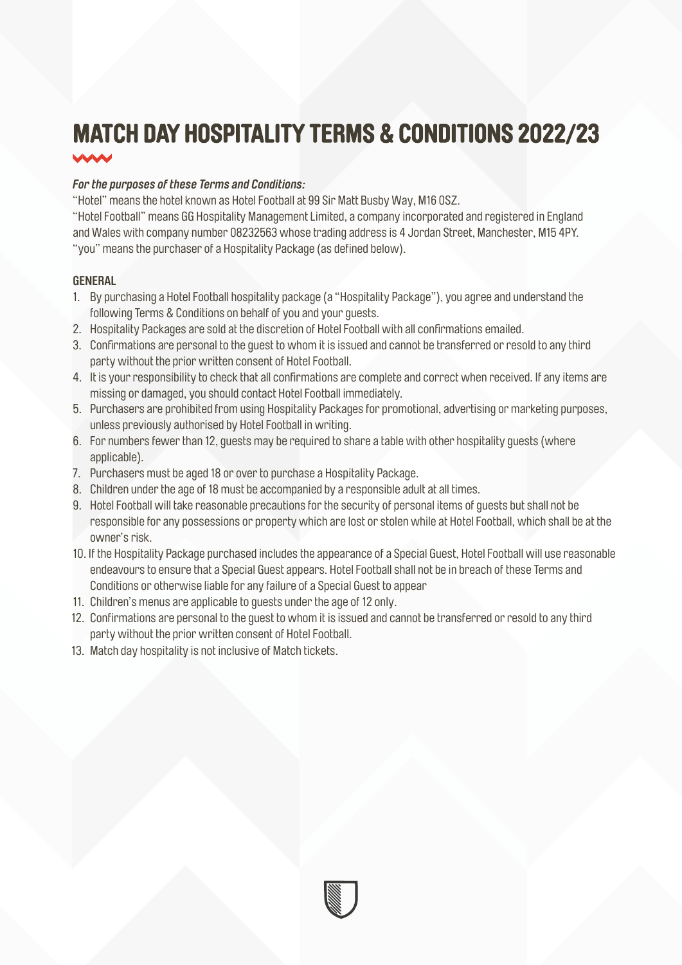# **MATCH DAY HOSPITALITY TERMS & CONDITIONS 2022/23**

## *For the purposes of these Terms and Conditions:*

"Hotel" means the hotel known as Hotel Football at 99 Sir Matt Busby Way, M16 0SZ.

"Hotel Football" means GG Hospitality Management Limited, a company incorporated and registered in England and Wales with company number 08232563 whose trading address is 4 Jordan Street, Manchester, M15 4PY. "you" means the purchaser of a Hospitality Package (as defined below).

## **GENERAL**

- 1. By purchasing a Hotel Football hospitality package (a "Hospitality Package"), you agree and understand the following Terms & Conditions on behalf of you and your guests.
- 2. Hospitality Packages are sold at the discretion of Hotel Football with all confirmations emailed.
- 3. Confirmations are personal to the guest to whom it is issued and cannot be transferred or resold to any third party without the prior written consent of Hotel Football.
- 4. It is your responsibility to check that all confirmations are complete and correct when received. If any items are missing or damaged, you should contact Hotel Football immediately.
- 5. Purchasers are prohibited from using Hospitality Packages for promotional, advertising or marketing purposes, unless previously authorised by Hotel Football in writing.
- 6. For numbers fewer than 12, guests may be required to share a table with other hospitality guests (where applicable).
- 7. Purchasers must be aged 18 or over to purchase a Hospitality Package.
- 8. Children under the age of 18 must be accompanied by a responsible adult at all times.
- 9. Hotel Football will take reasonable precautions for the security of personal items of guests but shall not be responsible for any possessions or property which are lost or stolen while at Hotel Football, which shall be at the owner's risk.
- 10. If the Hospitality Package purchased includes the appearance of a Special Guest, Hotel Football will use reasonable endeavours to ensure that a Special Guest appears. Hotel Football shall not be in breach of these Terms and Conditions or otherwise liable for any failure of a Special Guest to appear
- 11. Children's menus are applicable to guests under the age of 12 only.
- 12. Confirmations are personal to the guest to whom it is issued and cannot be transferred or resold to any third party without the prior written consent of Hotel Football.
- 13. Match day hospitality is not inclusive of Match tickets.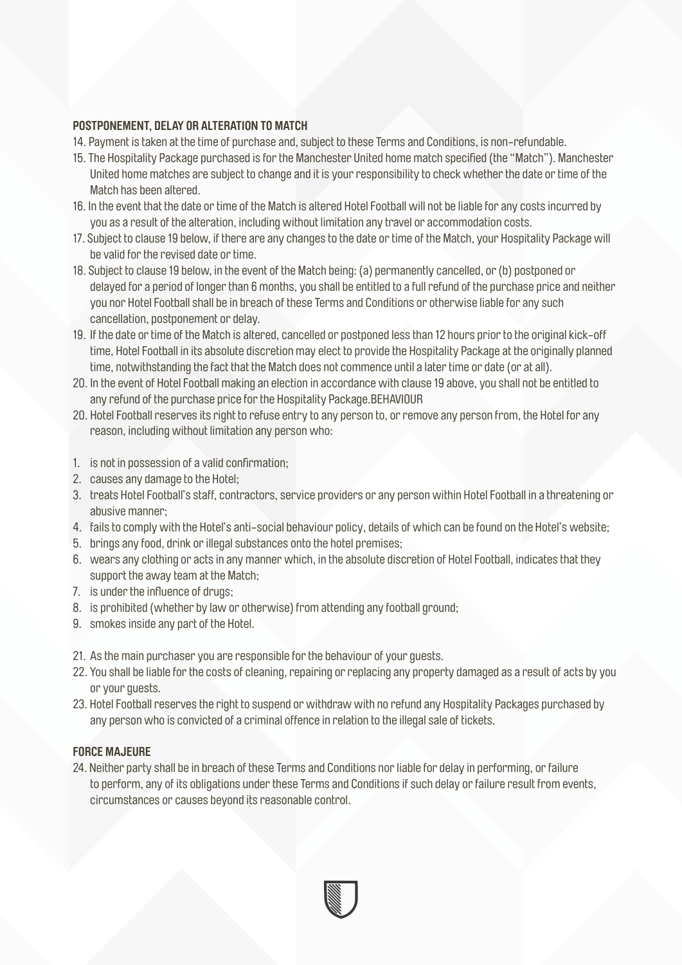#### **POSTPONEMENT, DELAY OR ALTERATION TO MATCH**

- 14. Payment is taken at the time of purchase and, subject to these Terms and Conditions, is non-refundable.
- 15. The Hospitality Package purchased is for the Manchester United home match specified (the "Match"). Manchester United home matches are subject to change and it is your responsibility to check whether the date or time of the Match has been altered.
- 16. In the event that the date or time of the Match is altered Hotel Football will not be liable for any costs incurred by you as a result of the alteration, including without limitation any travel or accommodation costs.
- 17. Subject to clause 19 below, if there are any changes to the date or time of the Match, your Hospitality Package will be valid for the revised date or time.
- 18. Subject to clause 19 below, in the event of the Match being: (a) permanently cancelled, or (b) postponed or delayed for a period of longer than 6 months, you shall be entitled to a full refund of the purchase price and neither you nor Hotel Football shall be in breach of these Terms and Conditions or otherwise liable for any such cancellation, postponement or delay.
- 19. If the date or time of the Match is altered, cancelled or postponed less than 12 hours prior to the original kick-off time, Hotel Football in its absolute discretion may elect to provide the Hospitality Package at the originally planned time, notwithstanding the fact that the Match does not commence until a later time or date (or at all).
- 20. In the event of Hotel Football making an election in accordance with clause 19 above, you shall not be entitled to any refund of the purchase price for the Hospitality Package.BEHAVIOUR
- 20. Hotel Football reserves its right to refuse entry to any person to, or remove any person from, the Hotel for any reason, including without limitation any person who:
- 1. is not in possession of a valid confirmation;
- 2. causes any damage to the Hotel;
- 3. treats Hotel Football's staff, contractors, service providers or any person within Hotel Football in a threatening or abusive manner;
- 4. fails to comply with the Hotel's anti-social behaviour policy, details of which can be found on the Hotel's website;
- 5. brings any food, drink or illegal substances onto the hotel premises;
- 6. wears any clothing or acts in any manner which, in the absolute discretion of Hotel Football, indicates that they support the away team at the Match;
- 7. is under the influence of drugs;
- 8. is prohibited (whether by law or otherwise) from attending any football ground;
- 9. smokes inside any part of the Hotel.
- 21. As the main purchaser you are responsible for the behaviour of your guests.
- 22. You shall be liable for the costs of cleaning, repairing or replacing any property damaged as a result of acts by you or your guests.
- 23. Hotel Football reserves the right to suspend or withdraw with no refund any Hospitality Packages purchased by any person who is convicted of a criminal offence in relation to the illegal sale of tickets.

# **FORCE MAJEURE**

24. Neither party shall be in breach of these Terms and Conditions nor liable for delay in performing, or failure to perform, any of its obligations under these Terms and Conditions if such delay or failure result from events, circumstances or causes beyond its reasonable control.

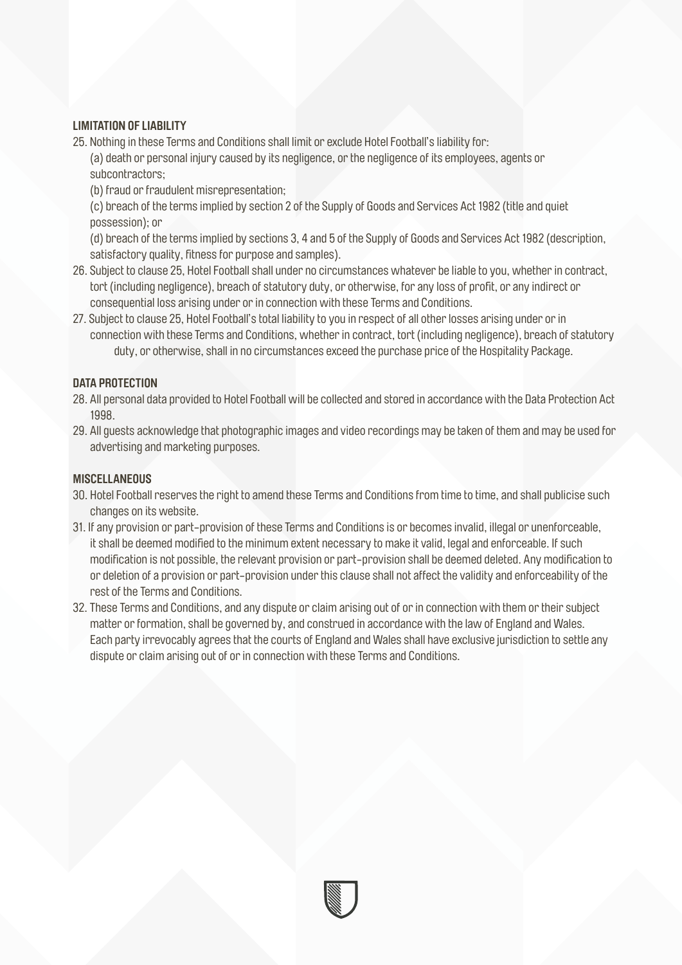# **LIMITATION OF LIABILITY**

25. Nothing in these Terms and Conditions shall limit or exclude Hotel Football's liability for:

(a) death or personal injury caused by its negligence, or the negligence of its employees, agents or subcontractors;

(b) fraud or fraudulent misrepresentation;

(c) breach of the terms implied by section 2 of the Supply of Goods and Services Act 1982 (title and quiet possession); or

(d) breach of the terms implied by sections 3, 4 and 5 of the Supply of Goods and Services Act 1982 (description, satisfactory quality, fitness for purpose and samples).

- 26. Subject to clause 25, Hotel Football shall under no circumstances whatever be liable to you, whether in contract, tort (including negligence), breach of statutory duty, or otherwise, for any loss of profit, or any indirect or consequential loss arising under or in connection with these Terms and Conditions.
- 27. Subject to clause 25, Hotel Football's total liability to you in respect of all other losses arising under or in connection with these Terms and Conditions, whether in contract, tort (including negligence), breach of statutory duty, or otherwise, shall in no circumstances exceed the purchase price of the Hospitality Package.

# **DATA PROTECTION**

- 28. All personal data provided to Hotel Football will be collected and stored in accordance with the Data Protection Act 1998.
- 29. All guests acknowledge that photographic images and video recordings may be taken of them and may be used for advertising and marketing purposes.

## **MISCELLANEOUS**

- 30. Hotel Football reserves the right to amend these Terms and Conditions from time to time, and shall publicise such changes on its website.
- 31. If any provision or part-provision of these Terms and Conditions is or becomes invalid, illegal or unenforceable, it shall be deemed modified to the minimum extent necessary to make it valid, legal and enforceable. If such modification is not possible, the relevant provision or part-provision shall be deemed deleted. Any modification to or deletion of a provision or part-provision under this clause shall not affect the validity and enforceability of the rest of the Terms and Conditions.
- 32. These Terms and Conditions, and any dispute or claim arising out of or in connection with them or their subject matter or formation, shall be governed by, and construed in accordance with the law of England and Wales. Each party irrevocably agrees that the courts of England and Wales shall have exclusive jurisdiction to settle any dispute or claim arising out of or in connection with these Terms and Conditions.